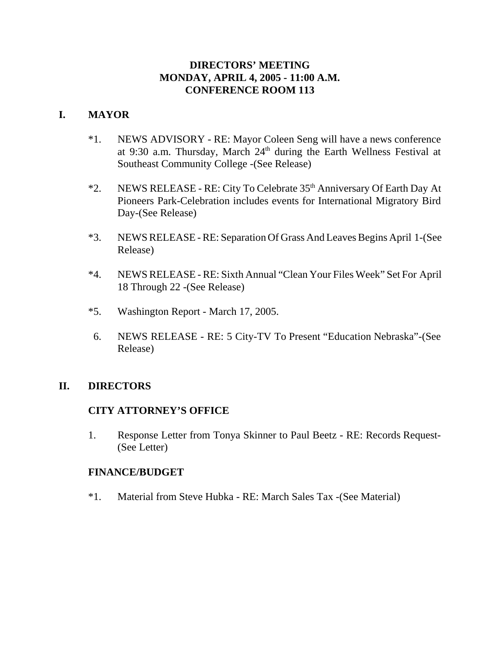## **DIRECTORS' MEETING MONDAY, APRIL 4, 2005 - 11:00 A.M. CONFERENCE ROOM 113**

# **I. MAYOR**

- \*1. NEWS ADVISORY RE: Mayor Coleen Seng will have a news conference at 9:30 a.m. Thursday, March 24<sup>th</sup> during the Earth Wellness Festival at Southeast Community College -(See Release)
- \*2. NEWS RELEASE RE: City To Celebrate 35th Anniversary Of Earth Day At Pioneers Park-Celebration includes events for International Migratory Bird Day-(See Release)
- \*3. NEWS RELEASE RE: Separation Of Grass And Leaves Begins April 1-(See Release)
- \*4. NEWS RELEASE RE: Sixth Annual "Clean Your Files Week" Set For April 18 Through 22 -(See Release)
- \*5. Washington Report March 17, 2005.
- 6. NEWS RELEASE RE: 5 City-TV To Present "Education Nebraska"-(See Release)

## **II. DIRECTORS**

## **CITY ATTORNEY'S OFFICE**

1. Response Letter from Tonya Skinner to Paul Beetz - RE: Records Request- (See Letter)

#### **FINANCE/BUDGET**

\*1. Material from Steve Hubka - RE: March Sales Tax -(See Material)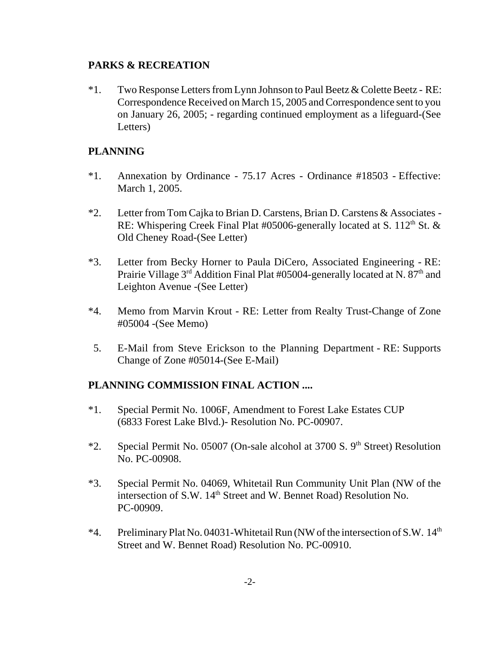### **PARKS & RECREATION**

\*1. Two Response Letters from Lynn Johnson to Paul Beetz & Colette Beetz - RE: Correspondence Received on March 15, 2005 and Correspondence sent to you on January 26, 2005; - regarding continued employment as a lifeguard-(See Letters)

## **PLANNING**

- \*1. Annexation by Ordinance 75.17 Acres Ordinance #18503 Effective: March 1, 2005.
- \*2. Letter from Tom Cajka to Brian D. Carstens, Brian D. Carstens & Associates RE: Whispering Creek Final Plat #05006-generally located at S.  $112<sup>th</sup>$  St. & Old Cheney Road-(See Letter)
- \*3. Letter from Becky Horner to Paula DiCero, Associated Engineering RE: Prairie Village  $3<sup>rd</sup>$  Addition Final Plat #05004-generally located at N.  $87<sup>th</sup>$  and Leighton Avenue -(See Letter)
- \*4. Memo from Marvin Krout RE: Letter from Realty Trust-Change of Zone #05004 -(See Memo)
- 5. E-Mail from Steve Erickson to the Planning Department RE: Supports Change of Zone #05014-(See E-Mail)

# **PLANNING COMMISSION FINAL ACTION ....**

- \*1. Special Permit No. 1006F, Amendment to Forest Lake Estates CUP (6833 Forest Lake Blvd.)- Resolution No. PC-00907.
- \*2. Special Permit No. 05007 (On-sale alcohol at 3700 S.  $9<sup>th</sup>$  Street) Resolution No. PC-00908.
- \*3. Special Permit No. 04069, Whitetail Run Community Unit Plan (NW of the intersection of S.W. 14<sup>th</sup> Street and W. Bennet Road) Resolution No. PC-00909.
- \*4. Preliminary Plat No. 04031-Whitetail Run (NW of the intersection of S.W. 14<sup>th</sup> Street and W. Bennet Road) Resolution No. PC-00910.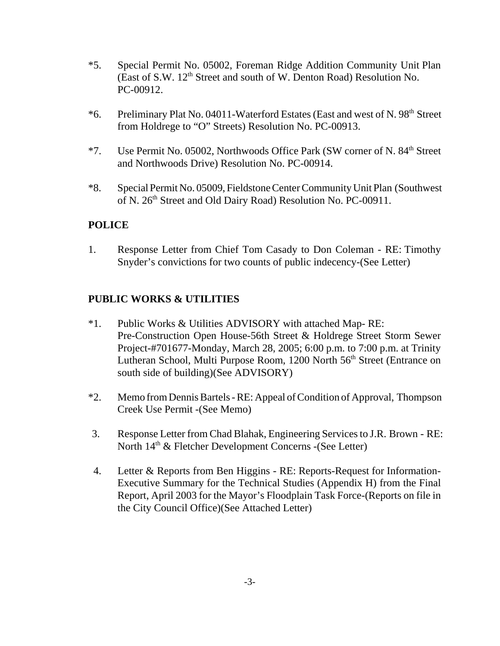- \*5. Special Permit No. 05002, Foreman Ridge Addition Community Unit Plan (East of S.W. 12th Street and south of W. Denton Road) Resolution No. PC-00912.
- \*6. Preliminary Plat No. 04011-Waterford Estates (East and west of N. 98<sup>th</sup> Street from Holdrege to "O" Streets) Resolution No. PC-00913.
- \*7. Use Permit No. 05002, Northwoods Office Park (SW corner of N. 84th Street and Northwoods Drive) Resolution No. PC-00914.
- \*8. Special Permit No. 05009, Fieldstone Center Community Unit Plan (Southwest of N. 26<sup>th</sup> Street and Old Dairy Road) Resolution No. PC-00911.

## **POLICE**

1. Response Letter from Chief Tom Casady to Don Coleman - RE: Timothy Snyder's convictions for two counts of public indecency-(See Letter)

### **PUBLIC WORKS & UTILITIES**

- \*1. Public Works & Utilities ADVISORY with attached Map- RE: Pre-Construction Open House-56th Street & Holdrege Street Storm Sewer Project-#701677-Monday, March 28, 2005; 6:00 p.m. to 7:00 p.m. at Trinity Lutheran School, Multi Purpose Room, 1200 North 56<sup>th</sup> Street (Entrance on south side of building)(See ADVISORY)
- \*2. Memo from Dennis Bartels RE: Appeal of Condition of Approval, Thompson Creek Use Permit -(See Memo)
- 3. Response Letter from Chad Blahak, Engineering Services to J.R. Brown RE: North  $14<sup>th</sup>$  & Fletcher Development Concerns -(See Letter)
- 4. Letter & Reports from Ben Higgins RE: Reports-Request for Information-Executive Summary for the Technical Studies (Appendix H) from the Final Report, April 2003 for the Mayor's Floodplain Task Force-(Reports on file in the City Council Office)(See Attached Letter)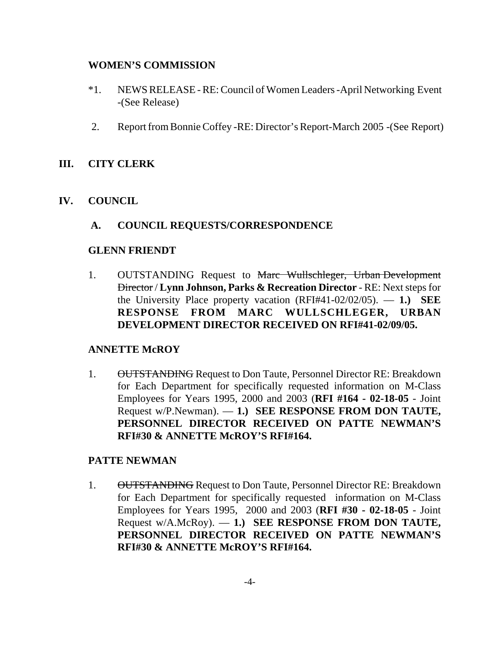### **WOMEN'S COMMISSION**

- \*1. NEWS RELEASE RE: Council of Women Leaders -April Networking Event -(See Release)
- 2. Report from Bonnie Coffey -RE: Director's Report-March 2005 -(See Report)

### **III. CITY CLERK**

**IV. COUNCIL**

### **A. COUNCIL REQUESTS/CORRESPONDENCE**

#### **GLENN FRIENDT**

1. OUTSTANDING Request to Marc Wullschleger, Urban Development Director / **Lynn Johnson, Parks & Recreation Director** - RE: Next steps for the University Place property vacation (RFI#41-02/02/05). — **1.) SEE RESPONSE FROM MARC WULLSCHLEGER, URBAN DEVELOPMENT DIRECTOR RECEIVED ON RFI#41-02/09/05.**

## **ANNETTE McROY**

1. OUTSTANDING Request to Don Taute, Personnel Director RE: Breakdown for Each Department for specifically requested information on M-Class Employees for Years 1995, 2000 and 2003 (**RFI #164 - 02-18-05** - Joint Request w/P.Newman). — **1.) SEE RESPONSE FROM DON TAUTE, PERSONNEL DIRECTOR RECEIVED ON PATTE NEWMAN'S RFI#30 & ANNETTE McROY'S RFI#164.** 

#### **PATTE NEWMAN**

1. OUTSTANDING Request to Don Taute, Personnel Director RE: Breakdown for Each Department for specifically requested information on M-Class Employees for Years 1995, 2000 and 2003 (**RFI #30 - 02-18-05** - Joint Request w/A.McRoy). — **1.) SEE RESPONSE FROM DON TAUTE, PERSONNEL DIRECTOR RECEIVED ON PATTE NEWMAN'S RFI#30 & ANNETTE McROY'S RFI#164.**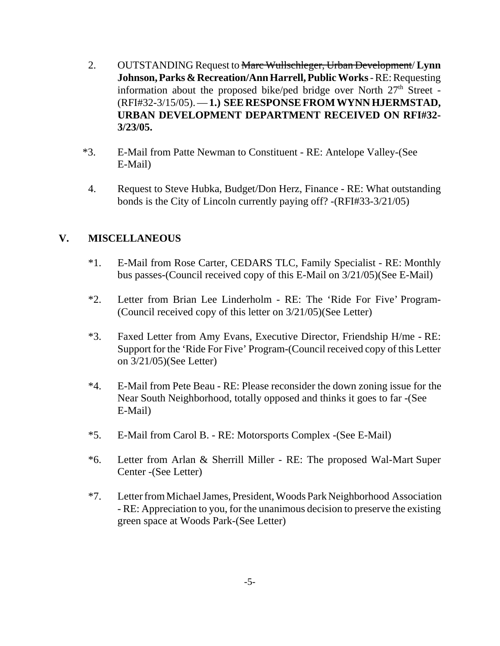- 2. OUTSTANDING Request to Marc Wullschleger, Urban Development/ **Lynn Johnson, Parks & Recreation/Ann Harrell, Public Works** - RE: Requesting information about the proposed bike/ped bridge over North  $27<sup>th</sup>$  Street -(RFI#32-3/15/05). — **1.) SEE RESPONSE FROM WYNN HJERMSTAD, URBAN DEVELOPMENT DEPARTMENT RECEIVED ON RFI#32- 3/23/05.**
- \*3. E-Mail from Patte Newman to Constituent RE: Antelope Valley-(See E-Mail)
- 4. Request to Steve Hubka, Budget/Don Herz, Finance RE: What outstanding bonds is the City of Lincoln currently paying off? -(RFI#33-3/21/05)

# **V. MISCELLANEOUS**

- \*1. E-Mail from Rose Carter, CEDARS TLC, Family Specialist RE: Monthly bus passes-(Council received copy of this E-Mail on 3/21/05)(See E-Mail)
- \*2. Letter from Brian Lee Linderholm RE: The 'Ride For Five' Program- (Council received copy of this letter on 3/21/05)(See Letter)
- \*3. Faxed Letter from Amy Evans, Executive Director, Friendship H/me RE: Support for the 'Ride For Five' Program-(Council received copy of this Letter on 3/21/05)(See Letter)
- \*4. E-Mail from Pete Beau RE: Please reconsider the down zoning issue for the Near South Neighborhood, totally opposed and thinks it goes to far -(See E-Mail)
- \*5. E-Mail from Carol B. RE: Motorsports Complex -(See E-Mail)
- \*6. Letter from Arlan & Sherrill Miller RE: The proposed Wal-Mart Super Center -(See Letter)
- \*7. Letter from Michael James, President, Woods Park Neighborhood Association - RE: Appreciation to you, for the unanimous decision to preserve the existing green space at Woods Park-(See Letter)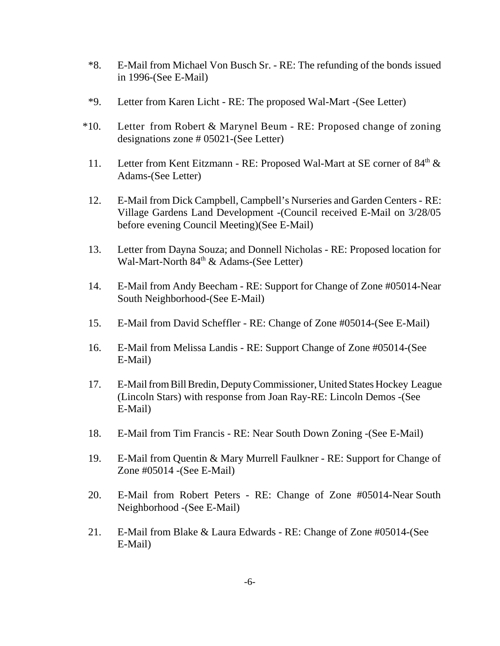- \*8. E-Mail from Michael Von Busch Sr. RE: The refunding of the bonds issued in 1996-(See E-Mail)
- \*9. Letter from Karen Licht RE: The proposed Wal-Mart -(See Letter)
- \*10. Letter from Robert & Marynel Beum RE: Proposed change of zoning designations zone # 05021-(See Letter)
- 11. Letter from Kent Eitzmann RE: Proposed Wal-Mart at SE corner of 84<sup>th</sup> & Adams-(See Letter)
- 12. E-Mail from Dick Campbell, Campbell's Nurseries and Garden Centers RE: Village Gardens Land Development -(Council received E-Mail on 3/28/05 before evening Council Meeting)(See E-Mail)
- 13. Letter from Dayna Souza; and Donnell Nicholas RE: Proposed location for Wal-Mart-North  $84<sup>th</sup>$  & Adams-(See Letter)
- 14. E-Mail from Andy Beecham RE: Support for Change of Zone #05014-Near South Neighborhood-(See E-Mail)
- 15. E-Mail from David Scheffler RE: Change of Zone #05014-(See E-Mail)
- 16. E-Mail from Melissa Landis RE: Support Change of Zone #05014-(See E-Mail)
- 17. E-Mail from Bill Bredin, Deputy Commissioner, United States Hockey League (Lincoln Stars) with response from Joan Ray-RE: Lincoln Demos -(See E-Mail)
- 18. E-Mail from Tim Francis RE: Near South Down Zoning -(See E-Mail)
- 19. E-Mail from Quentin & Mary Murrell Faulkner RE: Support for Change of Zone #05014 -(See E-Mail)
- 20. E-Mail from Robert Peters RE: Change of Zone #05014-Near South Neighborhood -(See E-Mail)
- 21. E-Mail from Blake & Laura Edwards RE: Change of Zone #05014-(See E-Mail)